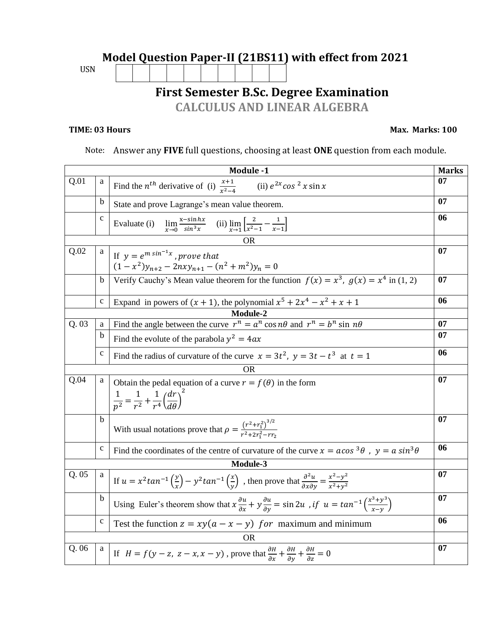## **Model Question Paper-II (21BS11) with effect from 2021**  USN **First Semester B.Sc. Degree Examination CALCULUS AND LINEAR ALGEBRA**

## **TIME: 03 Hours** Max. Marks: 100

## Note: Answer any **FIVE** full questions, choosing at least **ONE** question from each module.

| Module -1 |                                                                                                      |                                                                                                                                                                                       |    |  |
|-----------|------------------------------------------------------------------------------------------------------|---------------------------------------------------------------------------------------------------------------------------------------------------------------------------------------|----|--|
| Q.01      | a                                                                                                    | Find the $n^{th}$ derivative of (i) $\frac{x+1}{x^2-4}$<br>(ii) $e^{2x}$ cos <sup>2</sup> x sin x                                                                                     | 07 |  |
|           | b                                                                                                    | State and prove Lagrange's mean value theorem.                                                                                                                                        |    |  |
|           | $\mathbf{C}$                                                                                         | $\lim_{x\to 0} \frac{x-\sin hx}{\sin^3 x}$ (ii) $\lim_{x\to 1} \left[ \frac{2}{x^2-1} - \frac{1}{x-1} \right]$<br>Evaluate (i)                                                        | 06 |  |
|           |                                                                                                      | <b>OR</b>                                                                                                                                                                             |    |  |
| Q.02      | a<br>If $y = e^{m \sin^{-1} x}$ , prove that<br>$(1 - x^2)y_{n+2} - 2nxy_{n+1} - (n^2 + m^2)y_n = 0$ |                                                                                                                                                                                       |    |  |
|           | b                                                                                                    | Verify Cauchy's Mean value theorem for the function $f(x) = x^3$ , $g(x) = x^4$ in (1, 2)                                                                                             | 07 |  |
|           | $\mathbf c$                                                                                          | Expand in powers of $(x + 1)$ , the polynomial $x^5 + 2x^4 - x^2 + x + 1$                                                                                                             | 06 |  |
|           |                                                                                                      | Module-2                                                                                                                                                                              |    |  |
| Q.03      | a                                                                                                    | Find the angle between the curve $r^n = a^n \cos n\theta$ and $r^n = b^n \sin n\theta$                                                                                                | 07 |  |
|           | b                                                                                                    | Find the evolute of the parabola $y^2 = 4ax$                                                                                                                                          | 07 |  |
|           | $\mathbf c$                                                                                          | Find the radius of curvature of the curve $x = 3t^2$ , $y = 3t - t^3$ at $t = 1$                                                                                                      | 06 |  |
|           |                                                                                                      | <b>OR</b>                                                                                                                                                                             |    |  |
| Q.04      | a                                                                                                    | Obtain the pedal equation of a curve $r = f(\theta)$ in the form<br>$\frac{1}{n^2} = \frac{1}{r^2} + \frac{1}{r^4} \left( \frac{dr}{d\theta} \right)^2$                               | 07 |  |
|           | $\mathbf b$                                                                                          | With usual notations prove that $\rho = \frac{(r^2 + r_1^2)^{3/2}}{r^2 + 2r_1^2 - rr_2}$                                                                                              | 07 |  |
|           | $\mathbf c$                                                                                          | Find the coordinates of the centre of curvature of the curve $x = a \cos^3 \theta$ , $y = a \sin^3 \theta$                                                                            | 06 |  |
|           |                                                                                                      | Module-3                                                                                                                                                                              |    |  |
| Q.05      | a                                                                                                    | If $u = x^2 \tan^{-1} \left(\frac{y}{x}\right) - y^2 \tan^{-1} \left(\frac{x}{y}\right)$ , then prove that $\frac{\partial^2 u}{\partial x \partial y} = \frac{x^2 - y^2}{x^2 + y^2}$ | 07 |  |
|           | b                                                                                                    | Using Euler's theorem show that $x \frac{\partial u}{\partial x} + y \frac{\partial u}{\partial y} = \sin 2u$ , if $u = \tan^{-1} \left( \frac{x^3 + y^3}{x - y} \right)$             | 07 |  |
|           | $\mathbf{C}$                                                                                         | Test the function $z = xy(a - x - y)$ for maximum and minimum                                                                                                                         | 06 |  |
| OR        |                                                                                                      |                                                                                                                                                                                       |    |  |
| Q. 06     | a                                                                                                    | If $H = f(y - z, z - x, x - y)$ , prove that $\frac{\partial H}{\partial x} + \frac{\partial H}{\partial y} + \frac{\partial H}{\partial z} = 0$                                      | 07 |  |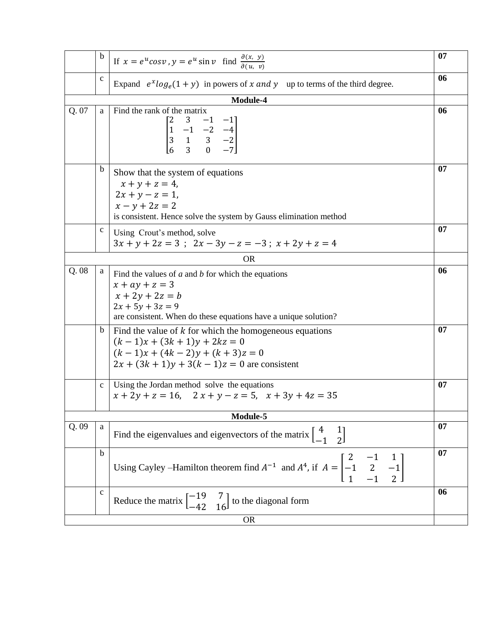|           | b                                                                                                                                                                          | If $x = e^u cos v$ , $y = e^u sin v$ find $\frac{\partial(x, y)}{\partial(u, v)}$                                                                                                        | 07 |  |  |  |
|-----------|----------------------------------------------------------------------------------------------------------------------------------------------------------------------------|------------------------------------------------------------------------------------------------------------------------------------------------------------------------------------------|----|--|--|--|
|           | $\mathbf c$                                                                                                                                                                | Expand $e^x \log_e(1+y)$ in powers of x and y up to terms of the third degree.                                                                                                           |    |  |  |  |
|           |                                                                                                                                                                            | Module-4                                                                                                                                                                                 |    |  |  |  |
| Q. 07     | a                                                                                                                                                                          | Find the rank of the matrix<br>$\begin{bmatrix} 2 & 3 & -1 & -1 \\ 1 & -1 & -2 & -4 \\ 3 & 1 & 3 & -2 \\ 6 & 3 & 0 & -7 \end{bmatrix}$                                                   |    |  |  |  |
|           | b<br>Show that the system of equations<br>$x + y + z = 4$ ,<br>$2x + y - z = 1$ ,<br>$x - y + 2z = 2$<br>is consistent. Hence solve the system by Gauss elimination method |                                                                                                                                                                                          |    |  |  |  |
|           | c                                                                                                                                                                          | Using Crout's method, solve<br>$3x + y + 2z = 3$ ; $2x - 3y - z = -3$ ; $x + 2y + z = 4$                                                                                                 |    |  |  |  |
|           |                                                                                                                                                                            | <b>OR</b>                                                                                                                                                                                |    |  |  |  |
| Q. 08     | a                                                                                                                                                                          | Find the values of $a$ and $b$ for which the equations<br>$x + ay + z = 3$<br>$x + 2y + 2z = b$<br>$2x + 5y + 3z = 9$<br>are consistent. When do these equations have a unique solution? |    |  |  |  |
|           | $\mathbf b$                                                                                                                                                                | Find the value of $k$ for which the homogeneous equations<br>$(k-1)x + (3k + 1)y + 2kz = 0$<br>$(k-1)x + (4k-2)y + (k+3)z = 0$<br>$2x + (3k + 1)y + 3(k - 1)z = 0$ are consistent        |    |  |  |  |
|           | $\mathbf{C}$                                                                                                                                                               | Using the Jordan method solve the equations<br>$x + 2y + z = 16$ , $2x + y - z = 5$ , $x + 3y + 4z = 35$                                                                                 |    |  |  |  |
| Module-5  |                                                                                                                                                                            |                                                                                                                                                                                          |    |  |  |  |
| Q.09      | a<br>Find the eigenvalues and eigenvectors of the matrix $\begin{bmatrix} 4 & 1 \\ -1 & 2 \end{bmatrix}$                                                                   |                                                                                                                                                                                          |    |  |  |  |
|           | b                                                                                                                                                                          | Using Cayley –Hamilton theorem find $A^{-1}$ and $A^4$ , if $A = \begin{bmatrix} 2 & -1 & 1 \\ -1 & 2 & -1 \\ 1 & -1 & 2 \end{bmatrix}$                                                  |    |  |  |  |
|           | $\mathbf{C}$                                                                                                                                                               | Reduce the matrix $\begin{bmatrix} -19 & 7 \\ -42 & 16 \end{bmatrix}$ to the diagonal form                                                                                               | 06 |  |  |  |
| <b>OR</b> |                                                                                                                                                                            |                                                                                                                                                                                          |    |  |  |  |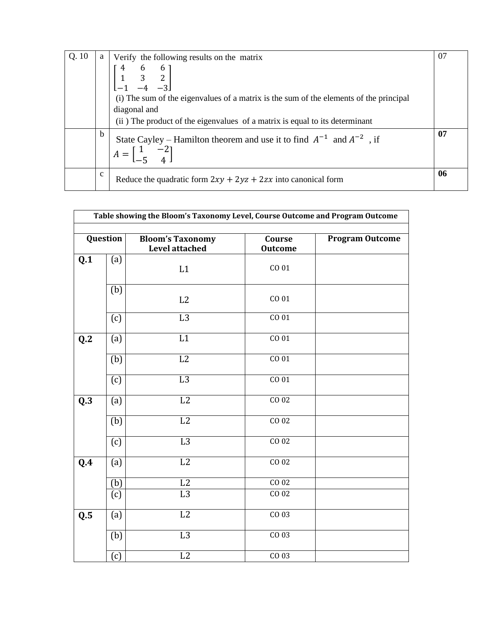| Q.10 | a           | Verify the following results on the matrix                                                                                                                                                                                                                      | 07 |
|------|-------------|-----------------------------------------------------------------------------------------------------------------------------------------------------------------------------------------------------------------------------------------------------------------|----|
|      |             | $\begin{bmatrix} 4 & 6 & 6 \\ 1 & 3 & 2 \\ -1 & -4 & -3 \end{bmatrix}$<br>(i) The sum of the eigenvalues of a matrix is the sum of the elements of the principal<br>diagonal and<br>(ii) The product of the eigenvalues of a matrix is equal to its determinant |    |
|      | b           | State Cayley – Hamilton theorem and use it to find $A^{-1}$ and $A^{-2}$ , if<br>$A = \begin{bmatrix} 1 & -2 \\ 1 & 1 \end{bmatrix}$                                                                                                                            | 07 |
|      | $\mathbf c$ | Reduce the quadratic form $2xy + 2yz + 2zx$ into canonical form                                                                                                                                                                                                 | 06 |

| Table showing the Bloom's Taxonomy Level, Course Outcome and Program Outcome |     |                                                  |                          |                        |
|------------------------------------------------------------------------------|-----|--------------------------------------------------|--------------------------|------------------------|
| Question                                                                     |     | <b>Bloom's Taxonomy</b><br><b>Level attached</b> | Course<br><b>Outcome</b> | <b>Program Outcome</b> |
| Q.1                                                                          | (a) | $\mathop{\mathrm{L}} 1$                          | CO 01                    |                        |
|                                                                              | (b) | L2                                               | CO 01                    |                        |
|                                                                              | (c) | L3                                               | CO <sub>01</sub>         |                        |
| Q.2                                                                          | (a) | $\overline{L1}$                                  | CO <sub>01</sub>         |                        |
|                                                                              | (b) | $\overline{L2}$                                  | CO <sub>01</sub>         |                        |
|                                                                              | (c) | L3                                               | CO <sub>01</sub>         |                        |
| $\overline{\mathbf{Q}}$ .3                                                   | (a) | L2                                               | CO <sub>02</sub>         |                        |
|                                                                              | (b) | L2                                               | CO <sub>02</sub>         |                        |
|                                                                              | (c) | L3                                               | CO <sub>02</sub>         |                        |
| Q.4                                                                          | (a) | L2                                               | CO <sub>02</sub>         |                        |
|                                                                              | (b) | L2                                               | CO <sub>02</sub>         |                        |
|                                                                              | (c) | L <sub>3</sub>                                   | CO 02                    |                        |
| Q.5                                                                          | (a) | L2                                               | CO 03                    |                        |
|                                                                              | (b) | L3                                               | CO <sub>03</sub>         |                        |
|                                                                              | (c) | L2                                               | CO 03                    |                        |